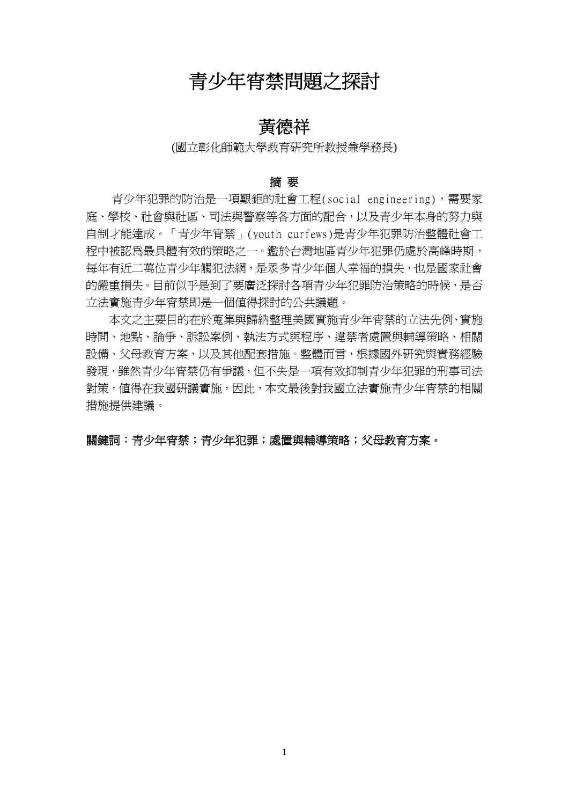# 青少年宵禁問題之探討

## 黃德祥

### (國立彰化師範大學教育研究所教授兼學務長)

### 摘 要

青少年犯罪的防治是一項艱鉅的社會工程(social engineering),需要家 庭、學校、社會與社區、司法與警察等各方面的配合,以及青少年本身的努力與 自制才能達成。「青少年宵禁」(youth curfews)是青少年犯罪防治整體社會工 程中被認為最具體有效的策略之一。鑑於台灣地區青少年犯罪仍處於高峰時期, 每年有近二萬位青少年觸犯法網,是眾多青少年個人幸福的損失,也是國家社會 的嚴重損失。目前似乎是到了要廣泛探討各項青少年犯罪防治策略的時候,是否 立法實施青少年宵禁即是一個值得探討的公共議題。

 本文之主要目的在於蒐集與歸納整理美國實施青少年宵禁的立法先例、實施 時間、地點、論爭、訴訟案例、執法方式與程序、違禁者處置與輔導策略、相關 設備、父母教育方案,以及其他配套措施。整體而言,根據國外研究與實務經驗 發現,雖然青少年宵禁仍有爭議,但不失是一項有效抑制青少年犯罪的刑事司法 對策,值得在我國研議實施,因此,本文最後對我國立法實施青少年宵禁的相關 措施提供建議。

### 關鍵詞:青少年宵禁;青少年犯罪;處置與輔導策略;父母教育方案。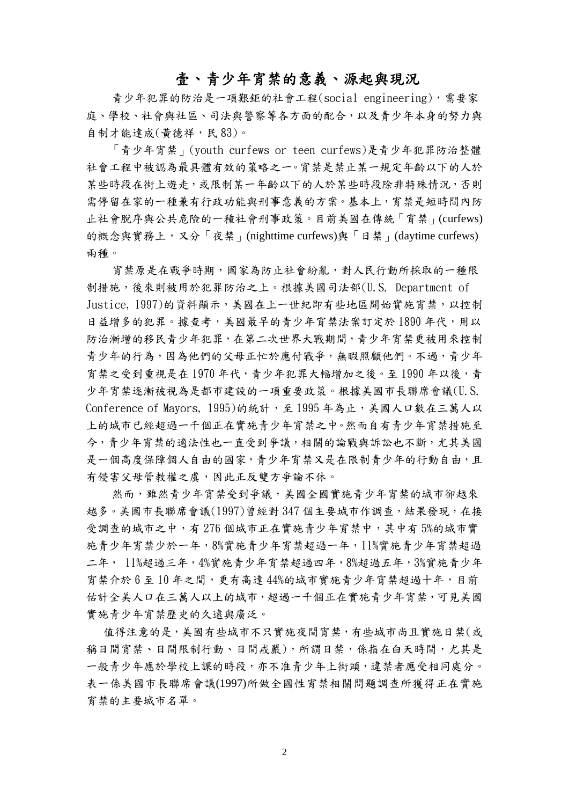### 壹、青少年宵禁的意義、源起與現況

青少年犯罪的防治是一項艱鉅的社會工程(social engineering),需要家 庭、學校、社會與社區、司法與警察等各方面的配合,以及青少年本身的努力與 自制才能達成(黃德祥,民 83)。

 「青少年宵禁」(youth curfews or teen curfews)是青少年犯罪防治整體 社會工程中被認為最具體有效的策略之一。宵禁是禁止某一規定年齡以下的人於 某些時段在街上遊走,或限制某一年齡以下的人於某些時段除非特殊情況,否則 需停留在家的一種兼有行政功能與刑事意義的方案。基本上,宵禁是短時間內防 止社會脫序與公共危險的一種社會刑事政策。目前美國在傳統「宵禁」(curfews) 的概念與實務上,又分「夜禁」(nighttime curfews)與「日禁」(daytime curfews) 兩種。

宵禁原是在戰爭時期,國家為防止社會紛亂,對人民行動所採取的一種限 制措施,後來則被用於犯罪防治之上。根據美國司法部(U.S. Department of Justice, 1997)的資料顯示,美國在上一世紀即有些地區開始實施宵禁,以控制 日益增多的犯罪。據查考,美國最早的青少年宵禁法案訂定於1890年代,用以 防治漸增的移民青少年犯罪,在第二次世界大戰期間,青少年宵禁更被用來控制 青少年的行為,因為他們的父母正忙於應付戰爭,無暇照顧他們。不過,青少年 宵禁之受到重視是在 1970 年代,青少年犯罪大幅增加之後。至 1990 年以後,青 少年宵禁逐漸被視為是都市建設的一項重要政策。根據美國市長聯席會議(U.S. Conference of Mayors, 1995)的統計,至1995年為止,美國人口數在三萬人以 上的城市已經超過一千個正在實施青少年宵禁之中。然而自有青少年宵禁措施至 今,青少年宵禁的適法性也一直受到爭議,相關的論戰與訴訟也不斷,尤其美國 是一個高度保障個人自由的國家,青少年宵禁又是在限制青少年的行動自由,且 有侵害父母管教權之虞,因此正反雙方爭論不休。

然而,雖然青少年宵禁受到爭議,美國全國實施青少年宵禁的城市卻越來 越多。美國市長聯席會議(1997)曾經對 347 個主要城市作調查,結果發現,在接 受調查的城市之中,有 276 個城市正在實施青少年宵禁中,其中有 5%的城市實 施青少年宵禁少於一年,8%實施青少年宵禁超過一年,11%實施青少年宵禁超過 二年, 11%超過三年,4%實施青少年宵禁超過四年,8%超過五年,3%實施青少年 宵禁介於 6 至 10 年之間,更有高達 44%的城市實施青少年宵禁超過十年,目前 估計全美人口在三萬人以上的城市,超過一千個正在實施青少年宵禁,可見美國 實施青少年宵禁歷史的久遠與廣泛。

值得注意的是,美國有些城市不只實施夜間宵禁,有些城市尚且實施日禁(或 稱日間宵禁、日間很制行動、日間戒嚴),所謂日禁,係指在白天時間,尤其是 一般青少年應於學校上課的時段,亦不准青少年上街頭,違禁者應受相同處分。 表一係美國市長聯席會議(1997)所做全國性宵禁相關問題調查所獲得正在實施 宵禁的主要城市名單。

2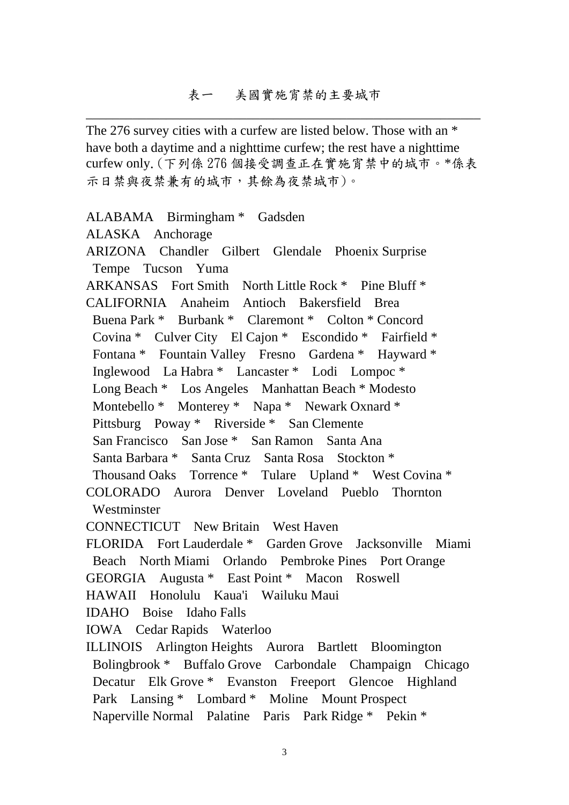The 276 survey cities with a curfew are listed below. Those with an  $*$ have both a daytime and a nighttime curfew; the rest have a nighttime curfew only.(下列係 276 個接受調查正在實施宵禁中的城市。\*係表 示日禁與夜禁兼有的城市,其餘為夜禁城市)。

ALABAMA Birmingham \* Gadsden ALASKA Anchorage ARIZONA Chandler Gilbert Glendale Phoenix Surprise Tempe Tucson Yuma ARKANSAS Fort Smith North Little Rock \* Pine Bluff \* CALIFORNIA Anaheim Antioch Bakersfield Brea Buena Park \* Burbank \* Claremont \* Colton \* Concord Covina \* Culver City El Cajon \* Escondido \* Fairfield \* Fontana \* Fountain Valley Fresno Gardena \* Hayward \* Inglewood La Habra \* Lancaster \* Lodi Lompoc \* Long Beach \* Los Angeles Manhattan Beach \* Modesto Montebello \* Monterey \* Napa \* Newark Oxnard \* Pittsburg Poway \* Riverside \* San Clemente San Francisco San Jose \* San Ramon Santa Ana Santa Barbara \* Santa Cruz Santa Rosa Stockton \* Thousand Oaks Torrence \* Tulare Upland \* West Covina \* COLORADO Aurora Denver Loveland Pueblo Thornton **Westminster** CONNECTICUT New Britain West Haven FLORIDA Fort Lauderdale \* Garden Grove Jacksonville Miami Beach North Miami Orlando Pembroke Pines Port Orange GEORGIA Augusta \* East Point \* Macon Roswell HAWAII Honolulu Kaua'i Wailuku Maui IDAHO Boise Idaho Falls IOWA Cedar Rapids Waterloo ILLINOIS Arlington Heights Aurora Bartlett Bloomington Bolingbrook \* Buffalo Grove Carbondale Champaign Chicago

 Park Lansing \* Lombard \* Moline Mount Prospect Naperville Normal Palatine Paris Park Ridge \* Pekin \*

Decatur Elk Grove \* Evanston Freeport Glencoe Highland

3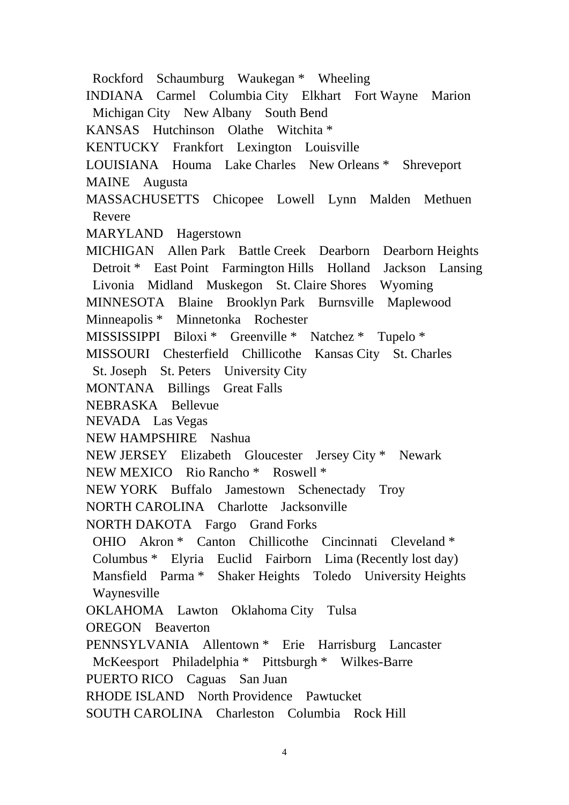Rockford Schaumburg Waukegan \* Wheeling INDIANA Carmel Columbia City Elkhart Fort Wayne Marion Michigan City New Albany South Bend KANSAS Hutchinson Olathe Witchita \* KENTUCKY Frankfort Lexington Louisville LOUISIANA Houma Lake Charles New Orleans \* Shreveport MAINE Augusta MASSACHUSETTS Chicopee Lowell Lynn Malden Methuen Revere MARYLAND Hagerstown MICHIGAN Allen Park Battle Creek Dearborn Dearborn Heights Detroit \* East Point Farmington Hills Holland Jackson Lansing Livonia Midland Muskegon St. Claire Shores Wyoming MINNESOTA Blaine Brooklyn Park Burnsville Maplewood Minneapolis \* Minnetonka Rochester MISSISSIPPI Biloxi \* Greenville \* Natchez \* Tupelo \* MISSOURI Chesterfield Chillicothe Kansas City St. Charles St. Joseph St. Peters University City MONTANA Billings Great Falls NEBRASKA Bellevue NEVADA Las Vegas NEW HAMPSHIRE Nashua NEW JERSEY Elizabeth Gloucester Jersey City \* Newark NEW MEXICO Rio Rancho \* Roswell \* NEW YORK Buffalo Jamestown Schenectady Troy NORTH CAROLINA Charlotte Jacksonville NORTH DAKOTA Fargo Grand Forks OHIO Akron \* Canton Chillicothe Cincinnati Cleveland \* Columbus \* Elyria Euclid Fairborn Lima (Recently lost day) Mansfield Parma \* Shaker Heights Toledo University Heights Waynesville OKLAHOMA Lawton Oklahoma City Tulsa OREGON Beaverton PENNSYLVANIA Allentown \* Erie Harrisburg Lancaster McKeesport Philadelphia \* Pittsburgh \* Wilkes-Barre PUERTO RICO Caguas San Juan RHODE ISLAND North Providence Pawtucket SOUTH CAROLINA Charleston Columbia Rock Hill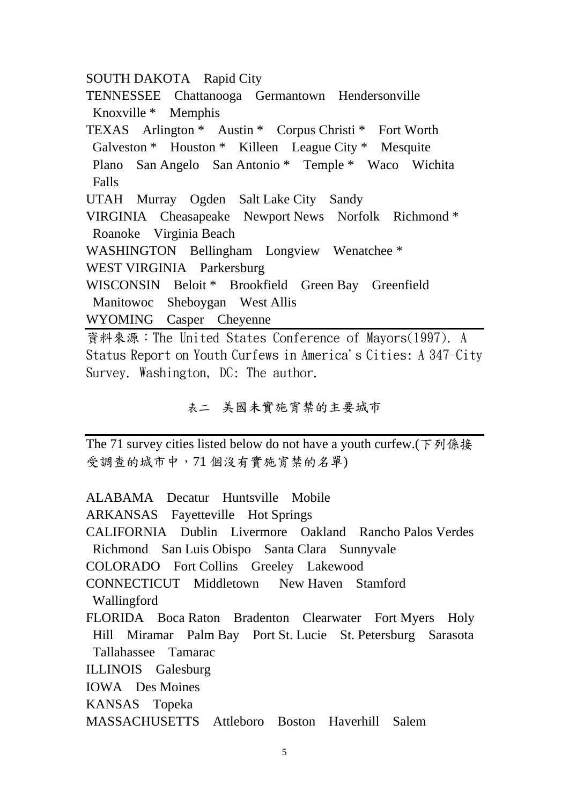SOUTH DAKOTA Rapid City

TENNESSEE Chattanooga Germantown Hendersonville Knoxville \* Memphis TEXAS Arlington \* Austin \* Corpus Christi \* Fort Worth Galveston \* Houston \* Killeen League City \* Mesquite Plano San Angelo San Antonio \* Temple \* Waco Wichita Falls UTAH Murray Ogden Salt Lake City Sandy VIRGINIA Cheasapeake Newport News Norfolk Richmond \* Roanoke Virginia Beach WASHINGTON Bellingham Longview Wenatchee \* WEST VIRGINIA Parkersburg WISCONSIN Beloit \* Brookfield Green Bay Greenfield Manitowoc Sheboygan West Allis WYOMING Casper Cheyenne 資料來源:The United States Conference of Mayors(1997). A

Status Report on Youth Curfews in America's Cities: A 347-City Survey. Washington, DC: The author.

### 表二 美國未實施宵禁的主要城市

The 71 survey cities listed below do not have a youth curfew.(下列係接 受調查的城市中,71 個沒有實施宵禁的名單)

ALABAMA Decatur Huntsville Mobile ARKANSAS Fayetteville Hot Springs CALIFORNIA Dublin Livermore Oakland Rancho Palos Verdes Richmond San Luis Obispo Santa Clara Sunnyvale COLORADO Fort Collins Greeley Lakewood CONNECTICUT Middletown New Haven Stamford Wallingford FLORIDA Boca Raton Bradenton Clearwater Fort Myers Holy Hill Miramar Palm Bay Port St. Lucie St. Petersburg Sarasota Tallahassee Tamarac ILLINOIS Galesburg IOWA Des Moines KANSAS Topeka

MASSACHUSETTS Attleboro Boston Haverhill Salem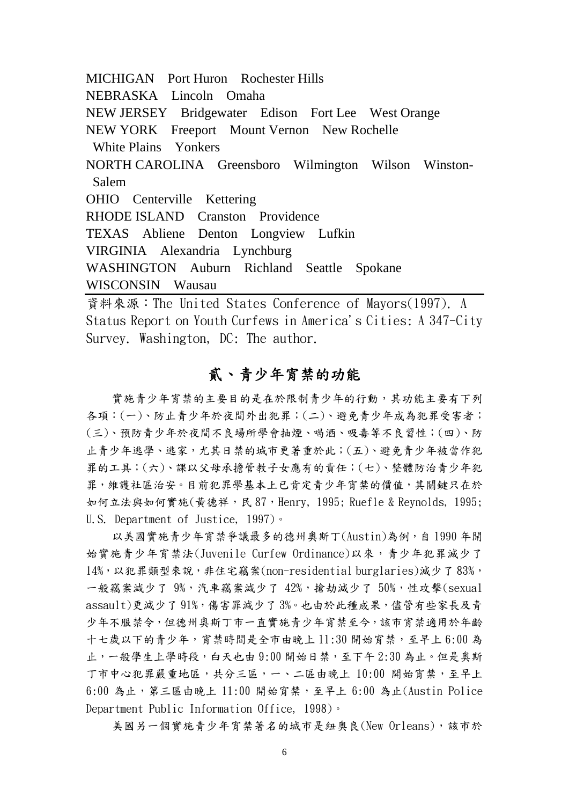MICHIGAN Port Huron Rochester Hills NEBRASKA Lincoln Omaha NEW JERSEY Bridgewater Edison Fort Lee West Orange NEW YORK Freeport Mount Vernon New Rochelle White Plains Yonkers NORTH CAROLINA Greensboro Wilmington Wilson Winston- Salem OHIO Centerville Kettering RHODE ISLAND Cranston Providence TEXAS Abliene Denton Longview Lufkin VIRGINIA Alexandria Lynchburg WASHINGTON Auburn Richland Seattle Spokane WISCONSIN Wausau 資料來源:The United States Conference of Mayors(1997). A

Status Report on Youth Curfews in America's Cities: A 347-City Survey. Washington, DC: The author.

## 貳、青少年宵禁的功能

實施青少年宵禁的主要目的是在於限制青少年的行動,其功能主要有下列 各項:(一)、防止青少年於夜間外出犯罪;(二)、避免青少年成為犯罪受害者; (三)、預防青少年於夜間不良場所學會抽煙、喝酒、吸毒等不良習性;(四)、防 止青少年逃學、逃家,尤其日禁的城市更著重於此;(五)、避免青少年被當作犯 罪的工具;(六)、課以父母承擔管教子女應有的責任;(七)、整體防治青少年犯 罪,維護社區治安。目前犯罪學基本上已肯定青少年宵禁的價值,其關鍵只在於 如何立法與如何實施(黃德祥,民 87,Henry, 1995; Ruefle & Reynolds, 1995; U.S. Department of Justice, 1997)。

以美國實施青少年宵禁爭議最多的德州奧斯丁(Austin)為例,自1990年開 始實施青少年宵禁法(Juvenile Curfew Ordinance)以來,青少年犯罪減少了 14%,以犯罪類型來說,非住宅竊案(non-residential burglaries)減少了 83%, 一般竊案減少了  $9\%$ , 汽車竊案減少了  $42\%$ , 搶劫減少了  $50\%$ , 性攻擊(sexual assault)更減少了 91%, 傷害罪減少了 3%。也由於此種成果,儘管有些家長及青 少年不服禁令,但德州奧斯丁市一直實施青少年宵禁至今,該市宵禁適用於年齡 十七歲以下的青少年,宵禁時間是全市由晚上 11:30 開始宵禁,至早上 6:00 為 止,一般學生上學時段,白天也由9:00開始日禁,至下午2:30為止。但是奧斯 丁市中心犯罪嚴重地區,共分三區,一、二區由晚上 10:00 開始宵禁,至早上  $6:00$  為止,第三區由晚上  $11:00$  開始宵禁,至早上  $6:00$  為止(Austin Police Department Public Information Office, 1998)。

美國另一個實施青少年宵禁著名的城市是紐奧良(New Orleans),該市於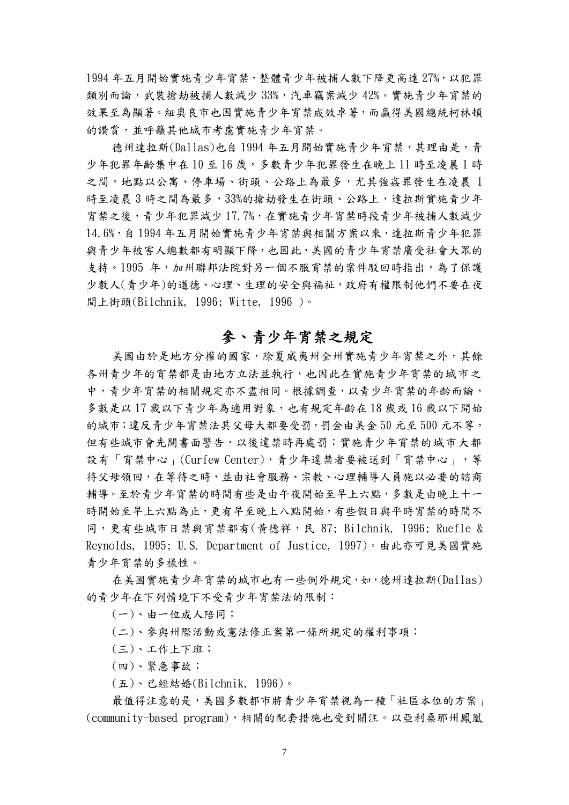1994年五月開始實施青少年驚情少年被捕人數下降更高達 27%,以犯罪 類別而論,武裝搶劫被捕人數減少 33%,汽車竊案減少 42%。實施青少年宵禁的 效果至為顯著。紐奧良市也因實施青少年宵禁成效卓著,而贏得美國總統柯林頓 的讚賞,並呼籲其他城市考慮實施青少年宵禁。

德州達拉斯(Dallas)也自 1994 年五月開始實施青少年宵禁,其理由是,青 少年犯罪年齡集中在10至16歲,多數青少年犯罪發生在晚上11時至凌晨1時 之間,地點以公寓、停車場、街頭、公路上為最多,尤其強姦罪發生在凌晨 1 時至凌晨3時之間為最多,33%的搶劫發生在街頭、公路上,達拉斯實施青少年 宵禁之後,青少年犯罪減少 17.7%,在實施青少年宵禁時段青少年被捕人數減少 14.6%,自 1994 年五月開始實施青少年宵禁與相關方案以來,達拉斯青少年犯罪 與青少年被害人總數都有明顯下降,也因此,美國的青少年宵禁廣受社會大眾的 支持。1995年,加州聯邦法院對另一個不服宵禁的案件駁回時指出,為了保護 少數人(青少年)的道德、心理、生理的安全與福祉,政府有權限制他們不要在夜 間上街頭(Bilchnik, 1996; Witte, 1996 )。

## 參、青少年宵禁之規定

美國由於是地方分權的國家,除夏威夷州全州實施青少年宮禁之外,其餘 各州青少年的宵禁都是由地方立法並執行,也因此在實施青少年宵禁的城市之 中,青少年宵禁的相關規定亦不盡相同。根據調查,以青少年宵禁的年齡而論, 多數是以 17 歲以下青少年為適用對象,也有規定年齡在 18 歲或 16 歲以下開始 的城市;違反青少年宵禁法其父母大都要受罰,罰金由美金 50 元至 500 元不等, 但有些城市會先開書面警告,以後違禁時再處罰;實施青少年宵禁的城市大都 設有「宵禁中心」(Curfew Center),青少年違禁者要被送到「宵禁中心」,等 待父母領回,在等待之時,並由社會服務、宗教、心理輔導人員施以必要的諮商 輔導。至於青少年宵禁的時間有些是由午夜開始至早上六點,多數是由晚上十一 時開始至早上六點為止,更有早至晚上八點開始,有些假日與平時宵禁的時間不 同,更有些城市日禁與宵禁都有(黃德祥,民 87; Bilchnik, 1996; Ruefle & Reynolds, 1995; U.S. Department of Justice, 1997)。由此亦可見美國實施 青少年宵禁的多樣性。

在美國實施青少年宵禁的城市也有一些例外規定,如,德州達拉斯(Dallas) 的青少年在下列情境下不受青少年宵禁法的限制:

- (一)、由一位成人陪同;
- (二)、參與州際活動或憲法修正案第一條所規定的權利事項;
- (三)、工作上下班;
- (四)、緊急事故;
- (五)、已經結婚(Bilchnik, 1996)。

最值得注意的是,美國多數都市將青少年宵禁視為一種「社區本位的方案」 (community-based program),相關的配套措施也受到關注。以亞利桑那州鳳凰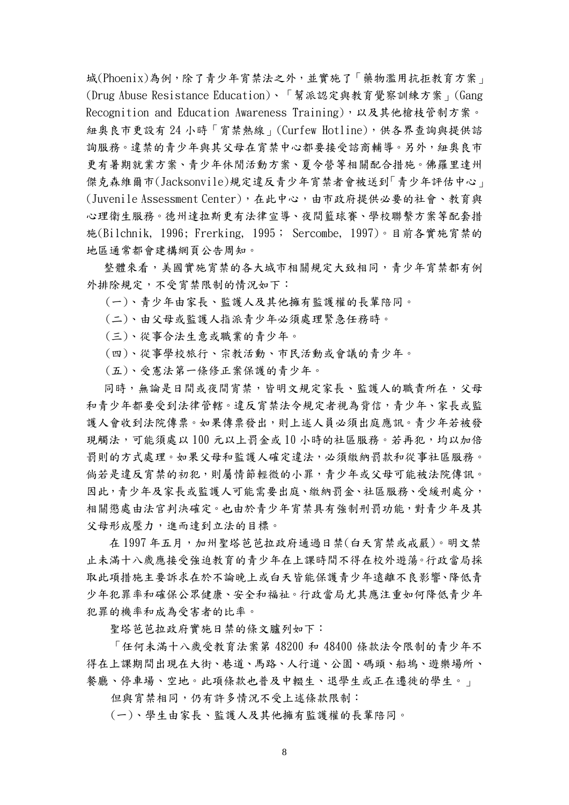城(Phoenix)為例,除了青少年宵禁法之外,並實施了「藥物濫用抗拒教育方案」 (Drug Abuse Resistance Education)、「幫派認定與教育覺察訓練方案」(Gang Recognition and Education Awareness Training),以及其他槍枝管制方案。 紐奧良市更設有 24 小時「宵禁熱線」(Curfew Hotline),供各界查詢與提供諮 詢服務。違禁的青少年與其父母在宵禁中心都要接受諮商輔導。另外,紐奧良市 更有暑期就業方案、青少年休閒活動方案、夏令營等相關配合措施。佛羅里達州 傑克森維爾市(Jacksonvile)規定違反青少年宵禁者會被送到「青少年評估中心」 (Juvenile Assessment Center),在此中心,由市政府提供必要的社會、教育與 心理衛生服務。德州達拉斯更有法律宣導、夜間籃球賽、學校聯繫方案等配套措 施(Bilchnik, 1996; Frerking, 1995; Sercombe, 1997)。目前各實施宵禁的 地區通常都會建構網頁公告周知。

整體來看,美國實施宵禁的各大城市相關規定大致相同,青少年宵禁都有例 外排除規定,不受宵禁限制的情況如下:

- (一)、青少年由家長、監護人及其他擁有監護權的長輩陪同。
- (二)、由父母或監護人指派青少年必須處理緊急任務時。
- (三)、從事合法生意或職業的青少年。
- (四)、從事學校旅行、宗教活動、市民活動或會議的青少年。
- (五)、受憲法第一條修正案保護的青少年。

同時,無論是日間或夜間宵禁,皆明文規定家長、監護人的職責所在,父母 和青少年都要受到法律管轄。違反宵禁法令規定者視為背信,青少年、家長或監 護人會收到法院傳票。如果傳票發出,則上述人員必須出庭應訊。青少年若被發 現觸法,可能須處以 100 元以上罰金或 10 小時的社區服務。若再犯,均以加倍 罰則的方式處理。如果父母和監護人確定違法,必須繳納罰款和從事社區服務。 倘若是違反宵禁的初犯,則屬情節輕微的小罪,青少年或父母可能被法院傳訊。 因此,青少年及家長或監護人可能需要出庭、繳納罰金、社區服務、受緩刑處分, 相關懲處由法官判決確定。也由於青少年宵禁具有強制刑罰功能,對青少年及其 父母形成壓力,進而達到立法的目標。

在1997年五月,加州聖塔芭芭拉政府通過日禁(白天宵禁或戒嚴)。明文禁 止未滿十八歲應接受強迫教育的青少年在上課時間不得在校外遊蕩。行政當局採 取此項措施主要訴求在於不論晚上或白天皆能保護青少年遠離不良影響、降低青 少年犯罪率和確保公眾健康、安全和福祉。行政當局尤其應注重如何降低青少年 犯罪的機率和成為受害者的比率。

聖塔芭芭拉政府實施日禁的條文臚列如下:

「任何未滿十八歲受教育法案第 48200 和 48400 條款法令限制的青少年不 得在上課期間出現在大街、巷道、馬路、人行道、公園、碼頭、船塢、遊樂場所、 餐廳、停車場、空地。此項條款也普及中輟生、退學生或正在遷徙的學生。」

但與宵禁相同,仍有許多情況不受上述條款限制:

(一)、學生由家長、監護人及其他擁有監護權的長輩陪同。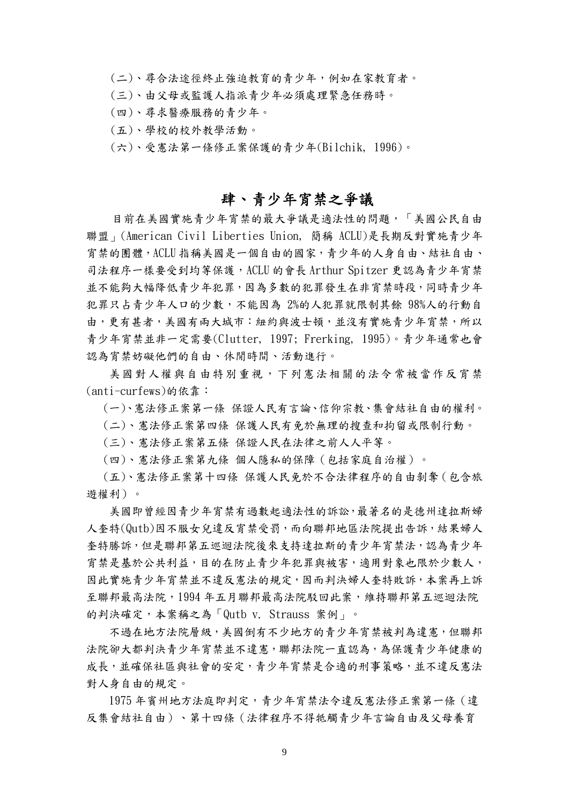(二)、尋合法途徑終止強迫教育的青少年,例如在家教育者。

(三)、由父母或監護人指派青少年必須處理緊急任務時。

- (四)、尋求醫療服務的青少年。
- (五)、學校的校外教學活動。
- (六)、受憲法第一條修正案保護的青少年(Bilchik, 1996)。

### 肆、青少年宵禁之爭議

目前在美國實施青少年宵禁的最大爭議是適法性的問題,「美國公民自由 聯盟」(American Civil Liberties Union, 簡稱 ACLU)是長期反對實施青少年 宵禁的團體,ACLU 指稱美國是一個自由的國家,青少年的人身自由、結社自由、 司法程序一樣要受到均等保護,ACLU 的會長 Arthur Spitzer 更認為青少年宵禁 並不能夠大幅降低青少年犯罪,因為多數的犯罪發生在非宵禁時段,同時青少年 犯罪只占青少年人口的少數,不能因為 2%的人犯罪就限制其餘 98%人的行動自 由,更有甚者,美國有兩大城市:紐約與波士頓,並沒有實施青少年宵禁,所以 青少年宵禁並非一定需要(Clutter, 1997; Frerking, 1995)。青少年通常也會 認為宵禁妨礙他們的自由、休閒時間、活動進行。

美國對人權與自由特別重視,下列憲法相關的法令常被當作反宵禁 (anti-curfews)的依靠:

(一)、憲法修正案第一條 保證人民有言論、信仰宗教、集會結社自由的權利。

(二)、憲法修正案第四條 保護人民有免於無理的搜查和拘留或限制行動。

(三)、憲法修正案第五條 保證人民在法律之前人人平等。

(四)、憲法修正案第九條 個人隱私的保障(包括家庭自治權)。

 (五)、憲法修正案第十四條 保護人民免於不合法律程序的自由剝奪(包含旅 遊權利)。

 美國即曾經因青少年宵禁有過數起適法性的訴訟,最著名的是德州達拉斯婦 人奎特(Qutb)因不服女兒違反宵禁受罰,而向聯邦地區法院提出告訴,結果婦人 奎特勝訴,但是聯邦第五巡迴法院後來支持達拉斯的青少年宵禁法,認為青少年 宵禁是基於公共利益,目的在防止青少年犯罪與被害,適用對象也限於少數人, 因此實施青少年宵禁並不違反憲法的規定,因而判決婦人奎特敗訴,本案再上訴 至聯邦最高法院,1994 年五月聯邦最高法院駁回此案,維持聯邦第五巡迴法院 的判決確定,本案稱之為「Qutb v. Strauss 案例」。

 不過在地方法院層級,美國倒有不少地方的青少年宵禁被判為違憲,但聯邦 法院卻大都判決青少年宵禁並不違憲,聯邦法院一直認為,為保護青少年健康的 成長,並確保社區與社會的安定,青少年宵禁是合適的刑事策略,並不違反憲法 對人身自由的規定。

 1975 年賓州地方法庭即判定,青少年宵禁法令違反憲法修正案第一條(違 反集會結社自由)、第十四條(法律程序不得牴觸青少年言論自由及父母養育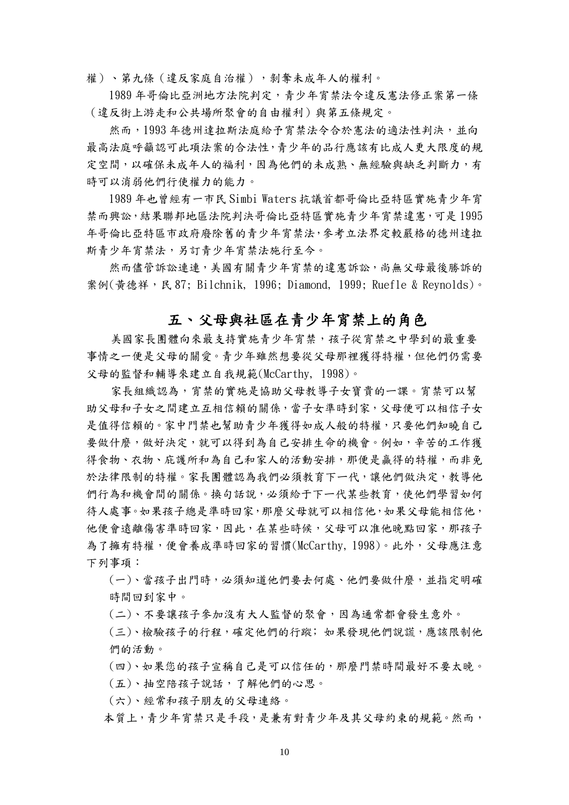權)、第九條(違反家庭自治權),剝奪未成年人的權利。

 1989 年哥倫比亞洲地方法院判定,青少年宵禁法令違反憲法修正案第一條 (違反街上游走和公共場所聚會的自由權利)與第五條規定。

然而,1993年德州達拉斯法庭給予宵禁法令合於憲法的適法性判決,並向 最高法庭呼籲認可此項法案的合法性,青少年的品行應該有比成人更大限度的規 定空間,以確保未成年人的福利,因為他們的未成熟、無經驗與缺乏判斷力,有 時可以消弱他們行使權力的能力。

 1989 年也曾經有一市民 Simbi Waters 抗議首都哥倫比亞特區實施青少年宵 禁而興訟,結果聯邦地區法院判決哥倫比亞特區實施青少年宵禁違憲,可是 1995 年哥倫比亞特區市政府廢除舊的青少年宵禁法,參考立法界定較嚴格的德州達拉 斯青少年宵禁法,另訂青少年宵禁法施行至今。

然而儘管訴訟連連,美國有關青少年宵禁的違憲訴訟,尚無父母最後勝訴的 案例(黃德祥,民 87; Bilchnik, 1996; Diamond, 1999; Ruefle & Reynolds)。

### 五、父母與社區在青少年宵禁上的角色

美國家長團體向來最支持實施青少年宵禁,孩子從宵禁之中學到的最重要 事情之一便是父母的關愛。青少年雖然想要從父母那裡獲得特權,但他們仍需要 父母的監督和輔導來建立自我規範(McCarthy, 1998)。

家長組織認為,宵禁的實施是協助父母教導子女寶貴的一課。宵禁可以幫 助父母和子女之間建立互相信賴的關係,當子女準時到家,父母便可以相信子女 是值得信賴的。家中門禁也幫助青少年獲得如成人般的特權,只要他們知曉自己 要做什麼,做好決定,就可以得到為自己安排生命的機會。例如,辛苦的工作獲 得食物、衣物、庇護所和為自己和家人的活動安排,那便是贏得的特權,而非免 於法律限制的特權。家長團體認為我們必須教育下ㄧ代,讓他們做決定,教導他 們行為和機會間的關係。換句話說,必須給于下一代某些教育,使他們學習如何 待人處事。如果孩子總是準時回家,那麼父母就可以相信他,如果父母能相信他, 他便會遠離傷害準時回家,因此,在某些時候,父母可以准他晚點回家,那孩子 為了擁有特權,便會養成準時回家的習慣(McCarthy, 1998)。此外,父母應注意 下列事項:

 (一)、當孩子出門時,必須知道他們要去何處、他們要做什麼,並指定明確 時間回到家中。

(二)、不要讓孩子參加沒有大人監督的聚會,因為通常都會發生意外。

 (三)、檢驗孩子的行程,確定他們的行蹤﹔如果發現他們說謊,應該限制他 們的活動。

(四)、如果您的孩子宣稱自己是可以信任的,那麼門禁時間最好不要太晚。

(五)、抽空陪孩子說話,了解他們的心思。

(六)、經常和孩子朋友的父母連絡。

本質上,青少年宵禁只是手段,是兼有對青少年及其父母約束的規範。然而,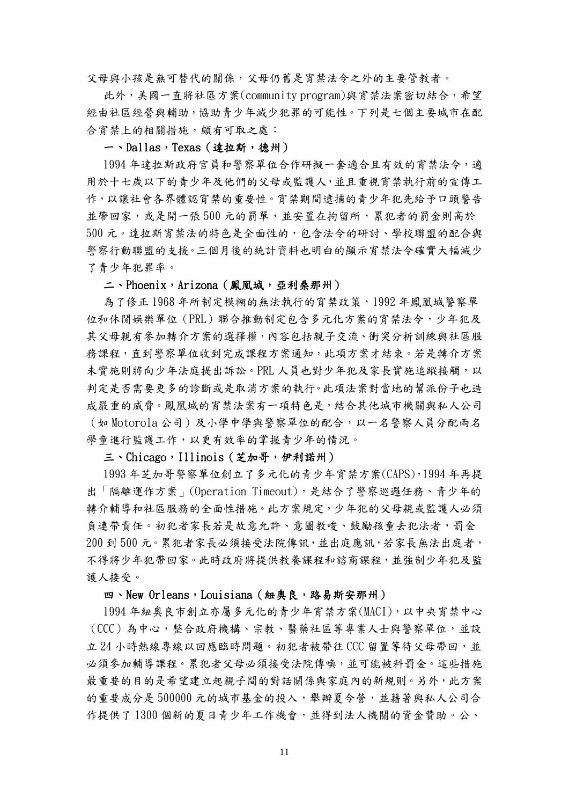父母與小孩是無可替代的關係,父母仍舊是宵禁法令之外的主要管教者。

 此外,美國一直將社區方案(community program)與宵禁法案密切結合,希望 經由社區經營與輔助,協助青少年減少犯罪的可能性。下列是七個主要城市在配 合宵禁上的相關措施,頗有可取之處:

#### 一、Dallas,Texas(達拉斯,德州)

 1994 年達拉斯政府官員和警察單位合作研擬一套適合且有效的宵禁法令,適 用於十七歲以下的青少年及他們的父母或監護人,並且重視宵禁執行前的宣傳工 作,以讓社會各界體認宵禁的重要性。宵禁期間逮捕的青少年犯先給予口頭警告 並帶回家,或是開一張 500 元的罰單,並安置在拘留所,累犯者的罰金則高於 500 元。達拉斯宵禁法的特色是全面性的,包含法令的研討、學校聯盟的配合與 警察行動聯盟的支援。三個月後的統計資料也明白的顯示宵禁法令確實大幅減少 了青少年犯罪率。

#### 二、Phoenix, Arizona (鳳凰城, 亞利桑那州)

 為了修正 1968 年所制定模糊的無法執行的宵禁政策,1992 年鳳凰城警察單 位和休閒娛樂單位(PRL)聯合推動制定包含多元化方案的宵禁法令,少年犯及 其父母親有參加轉介方案的選擇權,內容包括親子交流、衝突分析訓練與社區服 務課程,直到警察單位收到完成課程方案通知,此項方案才結束。若是轉介方案 未實施則將向少年法庭提出訴訟。PRL 人員也對少年犯及家長實施追蹤接觸,以 判定是否需要更多的診斷或是取消方案的執行。此項法案對當地的幫派份子也造 成嚴重的威脅。鳳凰城的宵禁法案有一項特色是,結合其他城市機關與私人公司 (如 Motorola 公司)及小學中學與警察單位的配合,以一名警察人員分配兩名 學童進行監護工作,以更有效率的掌握青少年的情況。

#### 三、Chicago,Illinois(芝加哥,伊利諾州)

 1993 年芝加哥警察單位創立了多元化的青少年宵禁方案(CAPS),1994 年再提 出「隔離運作方案<sub>」</sub>(Operation Timeout),是結合了警察巡邏任務、青少年的 轉介輔導和社區服務的全面性措施。此方案規定,少年犯的父母親或監護人必須 負連帶責任。初犯者家長若是故意允許、意圖教唆、鼓勵孩童去犯法者,罰金 200 到 500 元。累犯者家長必須接受法院傳訊,並出庭應訊,若家長無法出庭者, 不得將少年犯帶回家。此時政府將提供教養課程和諮商課程,並強制少年犯及監 護人接受。

#### 四、New Orleans, Louisiana (紐奧良,路易斯安那州)

 1994 年紐奧良市創立亦屬多元化的青少年宵禁方案(MACI),以中央宵禁中心 (CCC)為中心,整合政府機構、宗教、醫藥社區等專業人士與警察單位,並設 立 24 小時熱線專線以回應臨時問題。初犯者被帶往 CCC 留置等待父母帶回,並 必須參加輔導課程。累犯者父母必須接受法院傳喚,並可能被科罰金。這些措施 最重要的目的是希望建立起親子間的對話關係與家庭內的新規則。另外,此方案 的重要成分是 500000 元的城市基金的投入,舉辦夏令營,並藉著與私人公司合 作提供了1300個新的夏日青少年工作機會,並得到法人機關的資金贊助。公、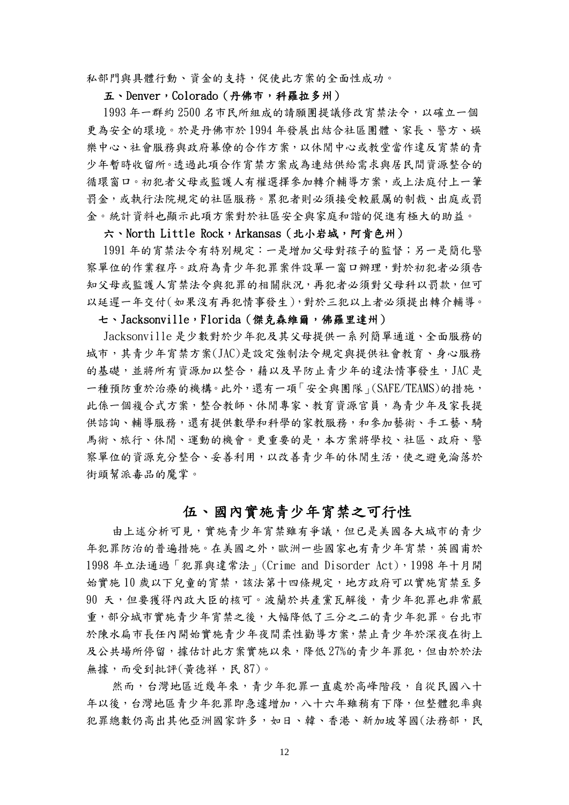私部門與具體行動、資金的支持,促使此方案的全面性成功。

#### 五、Denver,Colorado(丹佛市,科羅拉多州)

 1993 年一群約 2500 名市民所組成的請願團提議修改宵禁法令,以確立一個 更為安全的環境。於是丹佛市於 1994 年發展出結合社區團體、家長、警方、娛 樂中心、社會服務與政府幕僚的合作方案,以休閒中心或教堂當作違反宵禁的青 少年暫時收留所。透過此項合作宵禁方案成為連結供給需求與居民間資源整合的 循環窗口。初犯者父母或監護人有權選擇參加轉介輔導方案,或上法庭付上一筆 罰金,或執行法院規定的社區服務。累犯者則必須接受較嚴厲的制裁、出庭或罰 金。統計資料也顯示此項方案對於社區安全與家庭和諧的促進有極大的助益。

#### 六、North Little Rock, Arkansas (北小岩城, 阿肯色州)

 1991 年的宵禁法令有特別規定:一是增加父母對孩子的監督;另一是簡化警 察單位的作業程序。政府為青少年犯罪案件設單一窗口辦理,對於初犯者必須告 知父母或監護人宵禁法令與犯罪的相關狀況,再犯者必須對父母科以罰款,但可 以延遲一年交付(如果沒有再犯情事發生),對於三犯以上者必須提出轉介輔導。

### 七、Jacksonville,Florida(傑克森維爾,佛羅里達州)

 Jacksonville 是少數對於少年犯及其父母提供一系列簡單通道、全面服務的 城市,其青少年宵禁方案(JAC)是設定強制法令規定與提供社會教育、身心服務 的基礎,並將所有資源加以整合,藉以及早防止青少年的違法情事發生,JAC 是 一種預防重於治療的機構。此外,還有一項「安全與團隊」(SAFE/TEAMS)的措施, 此係一個複合式方案,整合教師、休閒專家、教育資源官員,為青少年及家長提 供諮詢、輔導服務,還有提供數學和科學的家教服務,和參加藝術、手工藝、騎 馬術、旅行、休閒、運動的機會。更重要的是,本方案將學校、社區、政府、警 察單位的資源充分整合、妥善利用,以改善青少年的休閒生活,使之避免淪落於 街頭幫派毒品的魔掌。

### 伍、國內實施青少年宵禁之可行性

由上述分析可見,實施青少年宵禁雖有爭議,但已是美國各大城市的青少 年犯罪防治的普遍措施。在美國之外,歐洲一些國家也有青少年宵禁,英國甫於 1998 年立法通過「犯罪與違常法」(Crime and Disorder Act),1998 年十月開 始實施10歲以下兒童的宵禁,該法第十四條規定,地方政府可以實施宵禁至多 90 天,但要獲得內政大臣的核可。波蘭於共產黨瓦解後,青少年犯罪也非常嚴 重,部分城市實施青少年宵禁之後,大幅降低了三分之二的青少年犯罪。台北市 於陳水扁市長任內開始實施青少年夜間柔性勸導方案,禁止青少年於深夜在街上 及公共場所停留,據估計此方案實施以來,降低27%的青少年罪犯,但由於於法 無據,而受到批評(黃德祥,民 87)。

然而,台灣地區近幾年來,青少年犯罪一直處於高峰階段,自從民國八十 年以後,台灣地區青少年犯罪即急遽增加,八十六年雖稍有下降,但整體犯率與 犯罪總數仍高出其他亞洲國家許多,如日、韓、香港、新加坡等國(法務部,民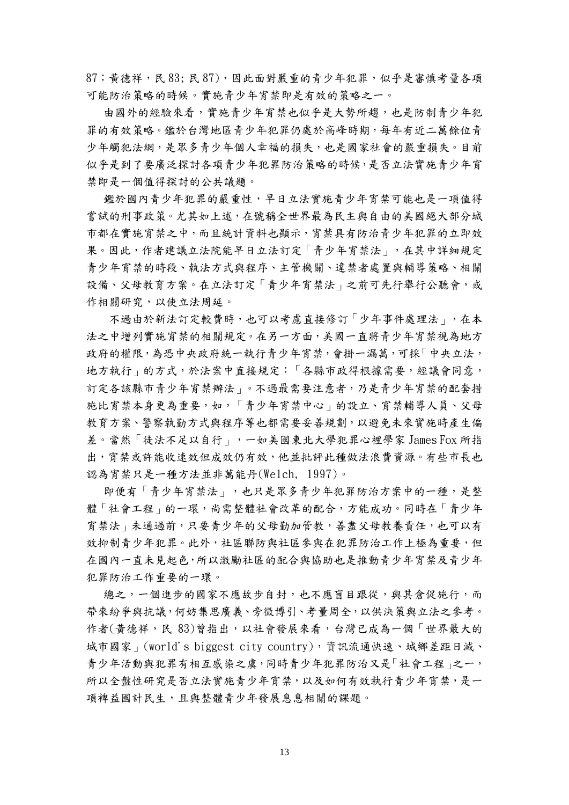87; 黃德祥,民 83;民 87),因此面對嚴重的青少年犯罪,似乎是審慎考量各項 可能防治策略的時候。實施青少年宵禁即是有效的策略之一。

由國外的經驗來看,實施青少年宵禁也似乎是大勢所趨,也是防制青少年犯 罪的有效策略。鑑於台灣地區青少年犯罪仍處於高峰時期,每年有近二萬餘位青 少年觸犯法網,是眾多青少年個人幸福的損失,也是國家社會的嚴重損失。目前 似乎是到了要廣泛探討各項青少年犯罪防治策略的時候,是否立法實施青少年宵 禁即是一個值得探討的公共議題。

 鑑於國內青少年犯罪的嚴重性,早日立法實施青少年宵禁可能也是一項值得 嘗試的刑事政策。尤其如上述,在號稱全世界最為民主與自由的美國絕大部分城 市都在實施宮禁之中,而且統計資料也顯示,富禁具有防治青少年犯罪的立即效 果。因此,作者建議立法院能早日立法訂定「青少年宵禁法」,在其中詳細規定 青少年宵禁的時段、執法方式與程序、主管機關、違禁者處置與輔導策略、相關 設備、父母教育方案。在立法訂定「青少年宵禁法」之前可先行舉行公聽會,或 作相關研究,以使立法周延。

 不過由於新法訂定較費時,也可以考慮直接修訂「少年事件處理法」,在本 法之中增列實施宵禁的相關規定。在另一方面,美國一直將青少年宵禁視為地方 政府的權限,為恐中央政府統一執行青少年宵禁,會掛一漏萬,可採「中央立法, 地方執行」的方式,於法案中直接規定:「各縣市政得根據需要,經議會同意, 訂定各該縣市青少年宵禁辦法」。不過最需要注意者,乃是青少年宵禁的配套措 施比宵禁本身更為重要,如,「青少年宵禁中心」的設立、宵禁輔導人員、父母 教育方案、警察執勤方式與程序等也都需要妥善規劃,以避免未來實施時產生偏 差。當然「徒法不足以自行」,一如美國東北大學犯罪心裡學家 James Fox 所指 出,宵禁或許能收速效但成效仍有效,他並批評此種做法浪費資源。有些市長也 認為宵禁只是ㄧ種方法並非萬能丹(Welch, 1997)。

 即便有「青少年宵禁法」,也只是眾多青少年犯罪防治方案中的一種,是整 體「社會工程」的一環,尚需整體社會改革的配合,方能成功。同時在「青少年 宵禁法 | 未通過前,只要青少年的父母勤加管教,善盡父母教養責任,也可以有 效抑制青少年犯罪。此外,社區聯防與社區參與在犯罪防治工作上極為重要,但 在國內一直未見起色,所以激勵社區的配合與協助也是推動青少年宵禁及青少年 犯罪防治工作重要的一環。

總之,一個進步的國家不應故步自封,也不應盲目跟從,與其倉促施行,而 帶來紛爭與抗議,何妨集思廣義、旁徵博引、考量周全,以供決策與立法之參考。 作者(黃德祥,民 83)曾指出,以社會發展來看,台灣已成為一個「世界最大的 城市國家」(world's biggest city country),資訊流通快速、城鄉差距日減、 青少年活動與犯罪有相互感染之虞,同時青少年犯罪防治又是「社會工程」之一, 所以全盤性研究是否立法實施青少年宵禁,以及如何有效執行青少年宵禁,是一 項裨益國計民生,且與整體青少年發展息息相關的課題。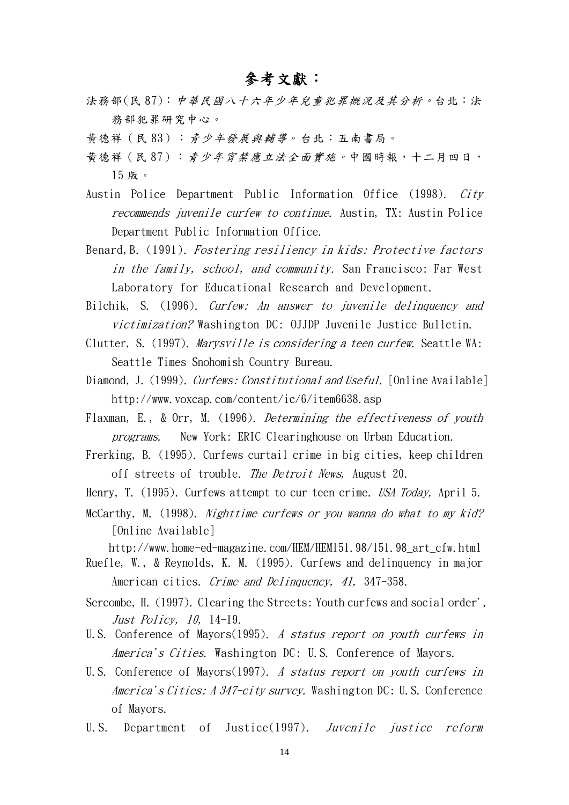### 參考文獻:

- 法務部(民 87):中華民國八十六年少年兒童犯罪概況及其分析。台北:法 務部犯罪研究中心。
- 黃德祥(民 83):青少年發展與輔導。台北:五南書局。
- 黃德祥(民 87):青少年宵禁應立法全面實施。中國時報,十二月四日, 15 版。
- Austin Police Department Public Information Office (1998). City recommends juvenile curfew to continue. Austin, TX: Austin Police Department Public Information Office.
- Benard,B. (1991). Fostering resiliency in kids: Protective factors in the family, school, and community. San Francisco: Far West Laboratory for Educational Research and Development.
- Bilchik, S. (1996). Curfew: An answer to juvenile delinquency and victimization? Washington DC: OJJDP Juvenile Justice Bulletin.
- Clutter, S. (1997). Marysville is considering a teen curfew. Seattle WA: Seattle Times Snohomish Country Bureau.
- Diamond, J. (1999). Curfews: Constitutional and Useful. [Online Available] http://www.voxcap.com/content/ic/6/item6638.asp
- Flaxman, E., & Orr, M. (1996). Determining the effectiveness of youth programs. New York: ERIC Clearinghouse on Urban Education.
- Frerking, B. (1995). Curfews curtail crime in big cities, keep children off streets of trouble. The Detroit News, August 20.
- Henry, T. (1995). Curfews attempt to cur teen crime. USA Today, April 5.
- McCarthy, M. (1998). Nighttime curfews or you wanna do what to my kid? [Online Available]

http://www.home-ed-magazine.com/HEM/HEM151.98/151.98\_art\_cfw.html

- Ruefle, W., & Reynolds, K. M. (1995). Curfews and delinquency in major American cities. Crime and Delinquency, 41, 347-358.
- Sercombe, H. (1997). Clearing the Streets: Youth curfews and social order', Just Policy, 10, 14-19.
- U.S. Conference of Mayors(1995). A status report on youth curfews in America's Cities. Washington DC: U.S. Conference of Mayors.
- U.S. Conference of Mayors(1997). A status report on youth curfews in America's Cities: A 347-city survey. Washington DC: U.S. Conference of Mayors.
- U.S. Department of Justice(1997). Juvenile justice reform